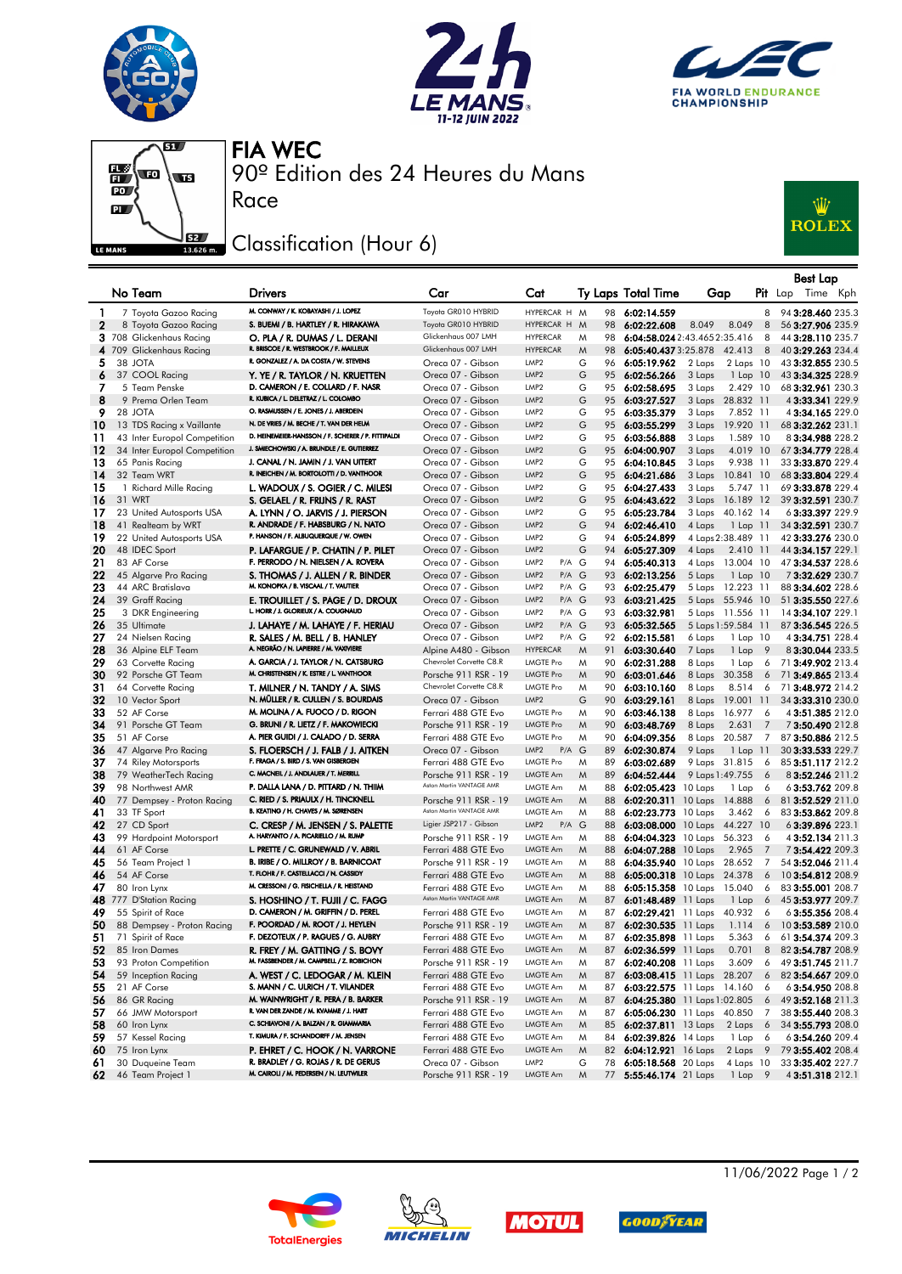







90º Edition des 24 Heures du Mans FIA WEC

## Classification (Hour 6)

Race



|              |                                            |                                                                                |                                                  |                                                        |               |                                  |                                                 |                | Best Lap                               |  |
|--------------|--------------------------------------------|--------------------------------------------------------------------------------|--------------------------------------------------|--------------------------------------------------------|---------------|----------------------------------|-------------------------------------------------|----------------|----------------------------------------|--|
|              | No Team                                    | <b>Drivers</b>                                                                 | Car                                              | Cat                                                    |               | <b>Ty Laps Total Time</b>        | Gap                                             |                | <b>Pit</b> Lap<br>Time Kph             |  |
| -1           | 7 Toyota Gazoo Racing                      | M. CONWAY / K. KOBAYASHI / J. LOPEZ                                            | Toyota GR010 HYBRID                              | HYPERCAR H M                                           | 98            | 6:02:14.559                      |                                                 | 8              | 94 3:28.460 235.3                      |  |
| $\mathbf{2}$ | 8 Toyota Gazoo Racing                      | S. BUEMI / B. HARTLEY / R. HIRAKAWA                                            | Toyota GR010 HYBRID                              | HYPERCAR H M                                           | 98            | 6:02:22.608                      | 8.049<br>8.049                                  | 8              | 56 3:27.906 235.9                      |  |
|              | 3 708 Glickenhaus Racing                   | O. PLA / R. DUMAS / L. DERANI                                                  | Glickenhaus 007 LMH                              | <b>HYPERCAR</b>                                        | M<br>98       |                                  | 6:04:58.024 2:43.465 2:35.416                   | 8              | 44 3:28.110 235.7                      |  |
|              | 4 709 Glickenhaus Racing                   | R. BRISCOE / R. WESTBROOK / F. MAILLEUX                                        | Glickenhaus 007 LMH                              | <b>HYPERCAR</b>                                        | M<br>98       |                                  | 6:05:40.4373:25.878 42.413                      | 8              | 40 3:29.263 234.4                      |  |
| 5            | 38 JOTA                                    | R. GONZALEZ / A. DA COSTA / W. STEVENS                                         | Oreca 07 - Gibson                                | LMP <sub>2</sub>                                       | G<br>96       | 6:05:19.962                      | 2 Laps<br>$2$ Laps $10$                         |                | 43 3:32.855 230.5                      |  |
| 6            | 37 COOL Racing                             | Y. YE / R. TAYLOR / N. KRUETTEN                                                | Oreca 07 - Gibson                                | LMP <sub>2</sub>                                       | G             | 95 6:02:56.266                   | 3 Laps<br>$1$ Lap $10$                          |                | 43 3:34.325 228.9                      |  |
| 7            | 5 Team Penske                              | D. CAMERON / E. COLLARD / F. NASR                                              | Oreca 07 - Gibson                                | LMP <sub>2</sub>                                       | G             | 95 6:02:58.695                   | 3 Laps<br>2.429 10                              |                | 68 3:32.961 230.3                      |  |
| 8            | 9 Prema Orlen Team                         | R. KUBICA / L. DELETRAZ / L. COLOMBO                                           | Oreca 07 - Gibson                                | LMP <sub>2</sub>                                       | G             | 95 6:03:27.527                   | 3 Laps 28.832 11                                |                | 4 3:33.341 229.9                       |  |
| 9            | 28 JOTA                                    | O. RASMUSSEN / E. JONES / J. ABERDEIN                                          | Oreca 07 - Gibson                                | LMP <sub>2</sub>                                       | G<br>95       | 6:03:35.379                      | 3 Laps<br>7.852 11                              |                | 4 3:34.165 229.0                       |  |
| 10           | 13 TDS Racing x Vaillante                  | N. DE VRIES / M. BECHE / T. VAN DER HELM                                       | Oreca 07 - Gibson                                | LMP <sub>2</sub>                                       | G<br>95       | 6:03:55.299                      | 3 Laps<br>19.920 11                             |                | 68 3:32.262 231.1                      |  |
| 11           | 43 Inter Europol Competition               | D. HEINEMEIER-HANSSON / F. SCHERER / P. FITTIPALDI                             | Oreca 07 - Gibson                                | LMP <sub>2</sub>                                       | G             | 95 6:03:56.888                   | 1.589 10<br>3 Laps                              |                | 83:34.988 228.2                        |  |
| 12           | 34 Inter Europol Competition               | J. SMIECHOWSKI / A. BRUNDLE / E. GUTIERREZ                                     | Oreca 07 - Gibson                                | LMP <sub>2</sub>                                       | G<br>95       | 6:04:00.907                      | 4.019 10<br>3 Laps                              |                | 67 3:34.779 228.4                      |  |
| 13           | 65 Panis Racing                            | J. CANAL / N. JAMIN / J. VAN UITERT                                            | Oreca 07 - Gibson                                | LMP <sub>2</sub>                                       | G             | 95 6:04:10.845                   | 9.938 11<br>3 Laps                              |                | 33 3:33.870 229.4                      |  |
| 14           | 32 Team WRT                                | R. INEICHEN / M. BORTOLOTTI / D. VANTHOOR                                      | Oreca 07 - Gibson                                | LMP <sub>2</sub>                                       | G             | 95 6:04:21.686                   | 3 Laps<br>10.841 10                             |                | 68 3:33.804 229.4                      |  |
| 15           | 1 Richard Mille Racing                     | L. WADOUX / S. OGIER / C. MILESI                                               | Oreca 07 - Gibson                                | LMP <sub>2</sub>                                       | G             | 95 6:04:27.433                   | 3 Laps<br>5.747 11                              |                | 69 3:33.878 229.4                      |  |
| 16           | 31 WRT                                     | S. GELAEL / R. FRIJNS / R. RAST                                                | Oreca 07 - Gibson                                | LMP <sub>2</sub>                                       | G             | 95 6:04:43.622                   | 3 Laps 16.189 12                                |                | 39 3:32.591 230.7                      |  |
| 17           | 23 United Autosports USA                   | A. LYNN / O. JARVIS / J. PIERSON                                               | Oreca 07 - Gibson                                | LMP <sub>2</sub>                                       | G<br>95       | 6:05:23.784                      | 3 Laps 40.162 14                                |                | 63:33.397 229.9                        |  |
| 18           | 41 Realteam by WRT                         | R. ANDRADE / F. HABSBURG / N. NATO                                             | Oreca 07 - Gibson                                | LMP <sub>2</sub>                                       | G<br>94       | 6:02:46.410                      | 4 Laps<br>$1$ Lap $11$                          |                | 34 3:32.591 230.7                      |  |
| 19           | 22 United Autosports USA                   | P. HANSON / F. ALBUQUERQUE / W. OWEN                                           | Oreca 07 - Gibson                                | LMP <sub>2</sub>                                       | G             | 94 6:05:24.899                   | 4 Laps 2:38.489 11                              |                | 42 3:33.276 230.0                      |  |
| 20           | 48 IDEC Sport                              | P. LAFARGUE / P. CHATIN / P. PILET                                             | Oreca 07 - Gibson                                | LMP <sub>2</sub>                                       | G<br>94       | 6:05:27.309                      | 4 Laps<br>2.410 11                              |                | 44 3:34.157 229.1                      |  |
| 21           | 83 AF Corse                                | F. PERRODO / N. NIELSEN / A. ROVERA                                            | Oreca 07 - Gibson                                | LMP <sub>2</sub><br>P/A G                              |               | 94 6:05:40.313                   | 4 Laps 13.004 10                                |                | 47 3:34.537 228.6                      |  |
| 22           | 45 Algarve Pro Racing<br>44 ARC Bratislava | S. THOMAS / J. ALLEN / R. BINDER<br>M. KONOPKA / B. VISCAAL / T. VAUTIER       | Oreca 07 - Gibson                                | LMP <sub>2</sub><br>P/A G<br>P/A G<br>LMP <sub>2</sub> |               | 93 6:02:13.256<br>93 6:02:25.479 | 5 Laps<br>$1$ Lap $10$                          |                | 73:32.629 230.7                        |  |
| 23<br>24     | 39 Graff Racing                            | E. TROUILLET / S. PAGE / D. DROUX                                              | Oreca 07 - Gibson<br>Oreca 07 - Gibson           | LMP <sub>2</sub><br>P/A G                              |               | 93 6:03:21.425                   | 5 Laps 12.223 11<br>5 Laps 55.946 10            |                | 88 3:34.602 228.6<br>51 3:35.550 227.6 |  |
| 25           | 3 DKR Engineering                          | L. HORR / J. GLORIEUX / A. COUGNAUD                                            | Oreca 07 - Gibson                                | LMP <sub>2</sub><br>P/A G                              | 93            | 6:03:32.981                      | 5 Laps 11.556 11                                |                | 14 3:34.107 229.1                      |  |
| 26           | 35 Ultimate                                | J. LAHAYE / M. LAHAYE / F. HERIAU                                              | Oreca 07 - Gibson                                | LMP <sub>2</sub><br>P/A G                              |               | 93 6:05:32.565                   | 5 Laps 1:59.584 11                              |                | 87 3:36.545 226.5                      |  |
| 27           | 24 Nielsen Racing                          | R. SALES / M. BELL / B. HANLEY                                                 | Oreca 07 - Gibson                                | LMP <sub>2</sub><br>P/A G                              |               | 92 6:02:15.581                   | 6 Laps<br>1 Lap 10                              |                | 4 3:34.751 228.4                       |  |
| 28           | 36 Alpine ELF Team                         | A. NEGRÃO / N. LAPIERRE / M. VAXIVIERE                                         | Alpine A480 - Gibson                             | <b>HYPERCAR</b>                                        | M<br>91       | 6:03:30.640                      | 7 Laps<br>1 Lap                                 | - 9            | 83:30.044 233.5                        |  |
| 29           | 63 Corvette Racing                         | A. GARCIA / J. TAYLOR / N. CATSBURG                                            | Chevrolet Corvette C8.R                          | <b>LMGTE Pro</b>                                       | M<br>90       | 6:02:31.288                      | 8 Laps<br>1 Lap                                 | 6              | 71 3:49.902 213.4                      |  |
| 30           | 92 Porsche GT Team                         | M. CHRISTENSEN / K. ESTRE / L. VANTHOOR                                        | Porsche 911 RSR - 19                             | <b>LMGTE Pro</b>                                       | M<br>90       | 6:03:01.646                      | 8 Laps<br>30.358                                | 6              | 71 3:49.865 213.4                      |  |
| 31           | 64 Corvette Racing                         | T. MILNER / N. TANDY / A. SIMS                                                 | Chevrolet Corvette C8.R                          | <b>LMGTE Pro</b>                                       | M<br>90       | 6:03:10.160                      | 8 Laps<br>8.514                                 | 6              | 71 3:48.972 214.2                      |  |
| 32           | 10 Vector Sport                            | N. MÜLLER / R. CULLEN / S. BOURDAIS                                            | Oreca 07 - Gibson                                | LMP <sub>2</sub>                                       | G<br>90       | 6:03:29.161                      | 8 Laps 19.001 11                                |                | 34 3:33.310 230.0                      |  |
| 33           | 52 AF Corse                                | M. MOLINA / A. FUOCO / D. RIGON                                                | Ferrari 488 GTE Evo                              | <b>LMGTE Pro</b>                                       | M<br>90       | 6:03:46.138                      | 8 Laps<br>16.977                                | 6              | 4 3:51.385 212.0                       |  |
| 34           | 91 Porsche GT Team                         | G. BRUNI / R. LIETZ / F. MAKOWIECKI                                            | Porsche 911 RSR - 19                             | <b>LMGTE Pro</b>                                       | M<br>90       | 6:03:48.769                      | 8 Laps<br>2.631                                 | 7              | 73:50.490212.8                         |  |
| 35           | 51 AF Corse                                | A. PIER GUIDI / J. CALADO / D. SERRA                                           | Ferrari 488 GTE Evo                              | <b>LMGTE Pro</b>                                       | M<br>90       | 6:04:09.356                      | 8 Laps 20.587                                   | 7              | 87 3:50.886 212.5                      |  |
| 36           | 47 Algarve Pro Racing                      | S. FLOERSCH / J. FALB / J. AITKEN                                              | Oreca 07 - Gibson                                | LMP <sub>2</sub><br>$P/A$ $G$                          | 89            | 6:02:30.874                      | 9 Laps<br>1 Lap                                 | -11            | 30 3:33.533 229.7                      |  |
| 37           | 74 Riley Motorsports                       | F. FRAGA / S. BIRD / S. VAN GISBERGEN                                          | Ferrari 488 GTE Evo                              | <b>LMGTE Pro</b>                                       | M<br>89       | 6:03:02.689                      | 9 Laps 31.815                                   | 6              | 85 3:51.117 212.2                      |  |
| 38           | 79 WeatherTech Racing                      | C. MACNEIL / J. ANDLAUER / T. MERRILL                                          | Porsche 911 RSR - 19                             | <b>LMGTE Am</b>                                        | M<br>89       | 6:04:52.444                      | 9 Laps 1:49.755                                 | $6^{\circ}$    | 8 3:52.246 211.2                       |  |
| 39           | 98 Northwest AMR                           | P. DALLA LANA / D. PITTARD / N. THIIM                                          | Aston Martin VANTAGE AMR                         | <b>LMGTE Am</b>                                        | M<br>88       | 6:02:05.423 10 Laps              | 1 Lap                                           | 6              | 63:53.762 209.8                        |  |
| 40           | 77 Dempsey - Proton Racing                 | C. RIED / S. PRIAULX / H. TINCKNELL<br>B. KEATING / H. CHAVES / M. SØRENSEN    | Porsche 911 RSR - 19<br>Aston Martin VANTAGE AMR | <b>LMGTE Am</b>                                        | M<br>88       |                                  | 6:02:20.311 10 Laps 14.888                      | 6              | 81 3:52.529 211.0                      |  |
| 41           | 33 TF Sport                                |                                                                                | Ligier JSP217 - Gibson                           | <b>LMGTE Am</b>                                        | M<br>88       | 6:02:23.773 10 Laps              | 3.462                                           | - 6            | 83 3:53.862 209.8                      |  |
| 42<br>43     | 27 CD Sport<br>99 Hardpoint Motorsport     | C. CRESP / M. JENSEN / S. PALETTE<br>A. HARYANTO / A. PICARIELLO / M. RUMP     | Porsche 911 RSR - 19                             | LMP <sub>2</sub><br>$P/A$ $G$<br>LMGTE Am              | 88<br>M<br>88 | 6:03:08.000                      | 10 Laps 44.227 10<br>6:04:04.323 10 Laps 56.323 | 6              | 63:39.896 223.1<br>4 3:52.134 211.3    |  |
| 44           | 61 AF Corse                                | L. PRETTE / C. GRUNEWALD / V. ABRIL                                            | Ferrari 488 GTE Evo                              | LMGTE Am                                               | M<br>88       | 6:04:07.288                      | 10 Laps<br>2.965                                | 7              | 7 3:54.422 209.3                       |  |
| 45           | 56 Team Project 1                          | B. IRIBE / O. MILLROY / B. BARNICOAT                                           | Porsche 911 RSR - 19                             | LMGTE Am                                               | M<br>88       |                                  | 6:04:35.940 10 Laps 28.652                      | 7              | 54 3:52.046 211.4                      |  |
| 46           | 54 AF Corse                                | T. FLOHR / F. CASTELLACCI / N. CASSIDY                                         | Ferrari 488 GTE Evo                              | <b>LMGTE Am</b>                                        | M<br>88       |                                  | 6:05:00.318 10 Laps 24.378                      | 6              | 10 3:54.812 208.9                      |  |
| 47           | 80 Iron Lynx                               | M. CRESSONI / G. FISICHELLA / R. HEISTAND                                      | Ferrari 488 GTE Evo                              | <b>LMGTE Am</b>                                        | M<br>88       | 6:05:15.358 10 Laps              | 15.040                                          | 6              | 83 3:55.001 208.7                      |  |
| 48           | 777 D'Station Racing                       | S. HOSHINO / T. FUJII / C. FAGG                                                | Aston Martin VANTAGE AMR                         | LMGTE Am                                               | M             | 87 6:01:48.489 11 Laps           | 1 Lap                                           | 6              | 45 3:53.977 209.7                      |  |
| 49           | 55 Spirit of Race                          | D. CAMERON / M. GRIFFIN / D. PEREL                                             | Ferrari 488 GTE Evo                              | <b>LMGTE Am</b>                                        | M             | 87 6:02:29.421 11 Laps           | 40.932                                          | 6              | 63:55.356 208.4                        |  |
| 50           | 88 Dempsey - Proton Racing                 | F. POORDAD / M. ROOT / J. HEYLEN                                               | Porsche 911 RSR - 19                             | <b>LMGTE Am</b>                                        | M             | 87 6:02:30.535 11 Laps           | 1.114                                           | 6              | 103:53.589 210.0                       |  |
| 51           | 71 Spirit of Race                          | F. DEZOTEUX / P. RAGUES / G. AUBRY                                             | Ferrari 488 GTE Evo                              | LMGTE Am                                               | M             | 87 6:02:35.898 11 Laps           | 5.363                                           | 6              | 61 3:54.374 209.3                      |  |
| 52           | 85 Iron Dames                              | R. FREY / M. GATTING / S. BOVY                                                 | Ferrari 488 GTE Evo                              | <b>LMGTE Am</b>                                        | M             | 87 6:02:36.599 11 Laps           | 0.701                                           | 8              | 82 3:54.787 208.9                      |  |
| 53           | 93 Proton Competition                      | M. FASSBENDER / M. CAMPBELL / Z. ROBICHON                                      | Porsche 911 RSR - 19                             | LMGTE Am                                               | M             | 87 6:02:40.208 11 Laps           | 3.609                                           | 6              | 49 3:51.745 211.7                      |  |
| 54           | 59 Inception Racing                        | A. WEST / C. LEDOGAR / M. KLEIN                                                | Ferrari 488 GTE Evo                              | LMGTE Am                                               | M             |                                  | 87 6:03:08.415 11 Laps 28.207                   | 6              | 82 3:54.667 209.0                      |  |
| 55           | 21 AF Corse                                | S. MANN / C. ULRICH / T. VILANDER                                              | Ferrari 488 GTE Evo                              | LMGTE Am                                               | M             |                                  | 87 6:03:22.575 11 Laps 14.160                   | 6              | 63:54.950 208.8                        |  |
| 56           | 86 GR Racing                               | M. WAINWRIGHT / R. PERA / B. BARKER                                            | Porsche 911 RSR - 19                             | LMGTE Am                                               | M             |                                  | 87 6:04:25.380 11 Laps 1:02.805                 | 6              | 49 3:52.168 211.3                      |  |
| 57           | 66 JMW Motorsport                          | R. VAN DER ZANDE / M. KVAMME / J. HART                                         | Ferrari 488 GTE Evo                              | LMGTE Am                                               | M             |                                  | 87 6:05:06.230 11 Laps 40.850                   | -7             | 38 3:55.440 208.3                      |  |
| 58           | 60 Iron Lynx                               | C. SCHIAVONI / A. BALZAN / R. GIAMMARIA                                        | Ferrari 488 GTE Evo                              | LMGTE Am                                               | M             | 85 6:02:37.811 13 Laps           | 2 Laps 6                                        |                | 34 3:55.793 208.0                      |  |
| 59           | 57 Kessel Racing                           | T. KIMURA / F. SCHANDORFF / M. JENSEN                                          | Ferrari 488 GTE Evo                              | LMGTE Am                                               | M             | 84 6:02:39.826 14 Laps           | 1 Lap                                           | 6              | 63:54.260 209.4                        |  |
| 60           | 75 Iron Lynx                               | P. EHRET / C. HOOK / N. VARRONE                                                | Ferrari 488 GTE Evo                              | LMGTE Am                                               | 82<br>M       | 6:04:12.921 16 Laps              | 2 Laps                                          | $\overline{9}$ | 79 3:55.402 208.4                      |  |
| 61           | 30 Duqueine Team                           | R. BRADLEY / G. ROJAS / R. DE GERUS<br>M. CAIROLI / M. PEDERSEN / N. LEUTWILER | Oreca 07 - Gibson                                | LMP <sub>2</sub>                                       | G<br>78       | 6:05:18.568 20 Laps              | 4 Laps 10                                       |                | 33 3:35.402 227.7                      |  |
| 62           | 46 Team Project 1                          |                                                                                | Porsche 911 RSR - 19                             | LMGTE Am                                               | M             | 77 5:55:46.174 21 Laps           | 1 Lap                                           | $\overline{9}$ | 43:51.318 212.1                        |  |